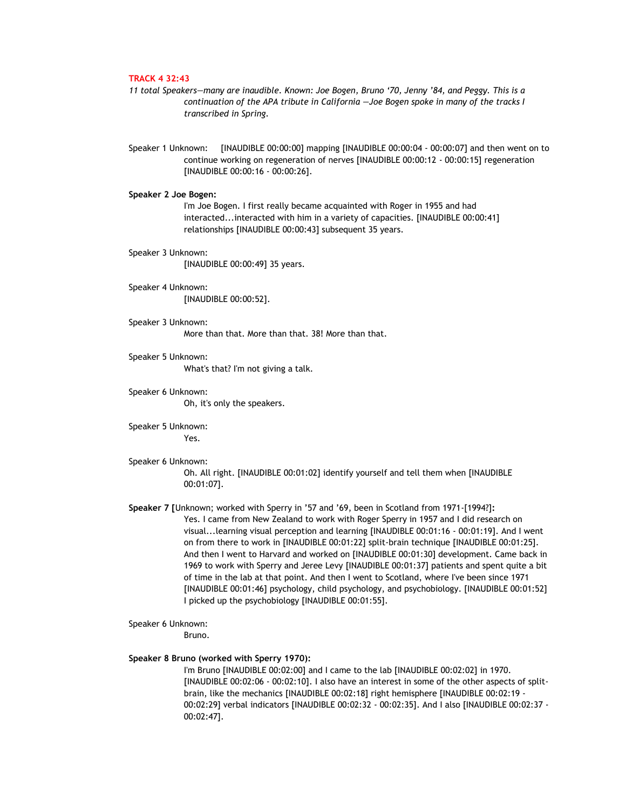# **TRACK 4 32:43**

- *11 total Speakers—many are inaudible. Known: Joe Bogen, Bruno '70, Jenny '84, and Peggy. This is a continuation of the APA tribute in California —Joe Bogen spoke in many of the tracks I transcribed in Spring.*
- Speaker 1 Unknown: [INAUDIBLE 00:00:00] mapping [INAUDIBLE 00:00:04 00:00:07] and then went on to continue working on regeneration of nerves [INAUDIBLE 00:00:12 - 00:00:15] regeneration [INAUDIBLE 00:00:16 - 00:00:26].

### **Speaker 2 Joe Bogen:**

I'm Joe Bogen. I first really became acquainted with Roger in 1955 and had interacted...interacted with him in a variety of capacities. [INAUDIBLE 00:00:41] relationships [INAUDIBLE 00:00:43] subsequent 35 years.

- Speaker 3 Unknown: [INAUDIBLE 00:00:49] 35 years.
- Speaker 4 Unknown: [INAUDIBLE 00:00:52].
- Speaker 3 Unknown: More than that. More than that. 38! More than that.
- Speaker 5 Unknown: What's that? I'm not giving a talk.
- Speaker 6 Unknown: Oh, it's only the speakers.
- Speaker 5 Unknown: Yes.
- Speaker 6 Unknown:
	- Oh. All right. [INAUDIBLE 00:01:02] identify yourself and tell them when [INAUDIBLE 00:01:07].
- **Speaker 7 [**Unknown; worked with Sperry in '57 and '69, been in Scotland from 1971-[1994?]**:** Yes. I came from New Zealand to work with Roger Sperry in 1957 and I did research on visual...learning visual perception and learning [INAUDIBLE 00:01:16 - 00:01:19]. And I went on from there to work in [INAUDIBLE 00:01:22] split-brain technique [INAUDIBLE 00:01:25]. And then I went to Harvard and worked on [INAUDIBLE 00:01:30] development. Came back in 1969 to work with Sperry and Jeree Levy [INAUDIBLE 00:01:37] patients and spent quite a bit of time in the lab at that point. And then I went to Scotland, where I've been since 1971 [INAUDIBLE 00:01:46] psychology, child psychology, and psychobiology. [INAUDIBLE 00:01:52] I picked up the psychobiology [INAUDIBLE 00:01:55].
- Speaker 6 Unknown: Bruno.

# **Speaker 8 Bruno (worked with Sperry 1970):**

I'm Bruno [INAUDIBLE 00:02:00] and I came to the lab [INAUDIBLE 00:02:02] in 1970. [INAUDIBLE 00:02:06 - 00:02:10]. I also have an interest in some of the other aspects of splitbrain, like the mechanics [INAUDIBLE 00:02:18] right hemisphere [INAUDIBLE 00:02:19 - 00:02:29] verbal indicators [INAUDIBLE 00:02:32 - 00:02:35]. And I also [INAUDIBLE 00:02:37 - 00:02:47].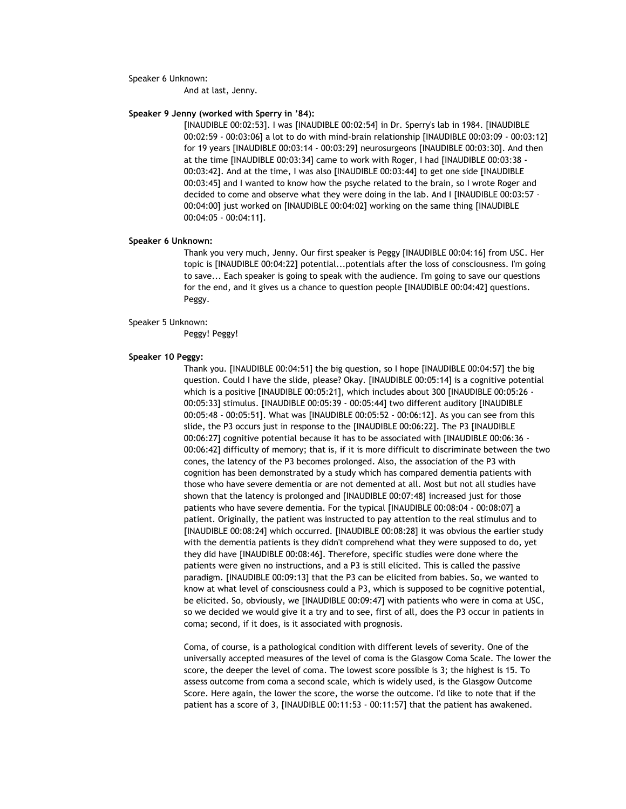### Speaker 6 Unknown:

And at last, Jenny.

### **Speaker 9 Jenny (worked with Sperry in '84):**

[INAUDIBLE 00:02:53]. I was [INAUDIBLE 00:02:54] in Dr. Sperry's lab in 1984. [INAUDIBLE 00:02:59 - 00:03:06] a lot to do with mind-brain relationship [INAUDIBLE 00:03:09 - 00:03:12] for 19 years [INAUDIBLE 00:03:14 - 00:03:29] neurosurgeons [INAUDIBLE 00:03:30]. And then at the time [INAUDIBLE 00:03:34] came to work with Roger, I had [INAUDIBLE 00:03:38 - 00:03:42]. And at the time, I was also [INAUDIBLE 00:03:44] to get one side [INAUDIBLE 00:03:45] and I wanted to know how the psyche related to the brain, so I wrote Roger and decided to come and observe what they were doing in the lab. And I [INAUDIBLE 00:03:57 - 00:04:00] just worked on [INAUDIBLE 00:04:02] working on the same thing [INAUDIBLE 00:04:05 - 00:04:11].

#### **Speaker 6 Unknown:**

Thank you very much, Jenny. Our first speaker is Peggy [INAUDIBLE 00:04:16] from USC. Her topic is [INAUDIBLE 00:04:22] potential...potentials after the loss of consciousness. I'm going to save... Each speaker is going to speak with the audience. I'm going to save our questions for the end, and it gives us a chance to question people [INAUDIBLE 00:04:42] questions. Peggy.

#### Speaker 5 Unknown:

Peggy! Peggy!

## **Speaker 10 Peggy:**

Thank you. [INAUDIBLE 00:04:51] the big question, so I hope [INAUDIBLE 00:04:57] the big question. Could I have the slide, please? Okay. [INAUDIBLE 00:05:14] is a cognitive potential which is a positive [INAUDIBLE 00:05:21], which includes about 300 [INAUDIBLE 00:05:26 - 00:05:33] stimulus. [INAUDIBLE 00:05:39 - 00:05:44] two different auditory [INAUDIBLE 00:05:48 - 00:05:51]. What was [INAUDIBLE 00:05:52 - 00:06:12]. As you can see from this slide, the P3 occurs just in response to the [INAUDIBLE 00:06:22]. The P3 [INAUDIBLE 00:06:27] cognitive potential because it has to be associated with [INAUDIBLE 00:06:36 - 00:06:42] difficulty of memory; that is, if it is more difficult to discriminate between the two cones, the latency of the P3 becomes prolonged. Also, the association of the P3 with cognition has been demonstrated by a study which has compared dementia patients with those who have severe dementia or are not demented at all. Most but not all studies have shown that the latency is prolonged and [INAUDIBLE 00:07:48] increased just for those patients who have severe dementia. For the typical [INAUDIBLE 00:08:04 - 00:08:07] a patient. Originally, the patient was instructed to pay attention to the real stimulus and to [INAUDIBLE 00:08:24] which occurred. [INAUDIBLE 00:08:28] it was obvious the earlier study with the dementia patients is they didn't comprehend what they were supposed to do, yet they did have [INAUDIBLE 00:08:46]. Therefore, specific studies were done where the patients were given no instructions, and a P3 is still elicited. This is called the passive paradigm. [INAUDIBLE 00:09:13] that the P3 can be elicited from babies. So, we wanted to know at what level of consciousness could a P3, which is supposed to be cognitive potential, be elicited. So, obviously, we [INAUDIBLE 00:09:47] with patients who were in coma at USC, so we decided we would give it a try and to see, first of all, does the P3 occur in patients in coma; second, if it does, is it associated with prognosis.

Coma, of course, is a pathological condition with different levels of severity. One of the universally accepted measures of the level of coma is the Glasgow Coma Scale. The lower the score, the deeper the level of coma. The lowest score possible is 3; the highest is 15. To assess outcome from coma a second scale, which is widely used, is the Glasgow Outcome Score. Here again, the lower the score, the worse the outcome. I'd like to note that if the patient has a score of 3, [INAUDIBLE 00:11:53 - 00:11:57] that the patient has awakened.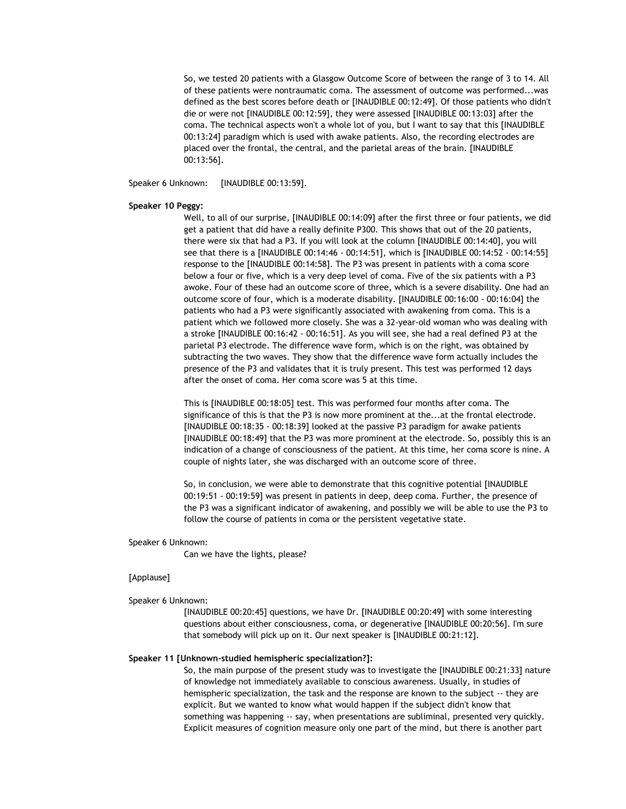So, we tested 20 patients with a Glasgow Outcome Score of between the range of 3 to 14. All of these patients were nontraumatic coma. The assessment of outcome was performed...was defined as the best scores before death or [INAUDIBLE 00:12:49]. Of those patients who didn't die or were not [INAUDIBLE 00:12:59], they were assessed [INAUDIBLE 00:13:03] after the coma. The technical aspects won't a whole lot of you, but I want to say that this [INAUDIBLE 00:13:24] paradigm which is used with awake patients. Also, the recording electrodes are placed over the frontal, the central, and the parietal areas of the brain. [INAUDIBLE 00:13:56].

Speaker 6 Unknown: [INAUDIBLE 00:13:59].

## **Speaker 10 Peggy:**

Well, to all of our surprise, [INAUDIBLE 00:14:09] after the first three or four patients, we did get a patient that did have a really definite P300. This shows that out of the 20 patients, there were six that had a P3. If you will look at the column [INAUDIBLE 00:14:40], you will see that there is a [INAUDIBLE 00:14:46 - 00:14:51], which is [INAUDIBLE 00:14:52 - 00:14:55] response to the [INAUDIBLE 00:14:58]. The P3 was present in patients with a coma score below a four or five, which is a very deep level of coma. Five of the six patients with a P3 awoke. Four of these had an outcome score of three, which is a severe disability. One had an outcome score of four, which is a moderate disability. [INAUDIBLE 00:16:00 - 00:16:04] the patients who had a P3 were significantly associated with awakening from coma. This is a patient which we followed more closely. She was a 32-year-old woman who was dealing with a stroke [INAUDIBLE 00:16:42 - 00:16:51]. As you will see, she had a real defined P3 at the parietal P3 electrode. The difference wave form, which is on the right, was obtained by subtracting the two waves. They show that the difference wave form actually includes the presence of the P3 and validates that it is truly present. This test was performed 12 days after the onset of coma. Her coma score was 5 at this time.

This is [INAUDIBLE 00:18:05] test. This was performed four months after coma. The significance of this is that the P3 is now more prominent at the...at the frontal electrode. [INAUDIBLE 00:18:35 - 00:18:39] looked at the passive P3 paradigm for awake patients [INAUDIBLE 00:18:49] that the P3 was more prominent at the electrode. So, possibly this is an indication of a change of consciousness of the patient. At this time, her coma score is nine. A couple of nights later, she was discharged with an outcome score of three.

So, in conclusion, we were able to demonstrate that this cognitive potential [INAUDIBLE 00:19:51 - 00:19:59] was present in patients in deep, deep coma. Further, the presence of the P3 was a significant indicator of awakening, and possibly we will be able to use the P3 to follow the course of patients in coma or the persistent vegetative state.

Speaker 6 Unknown:

Can we have the lights, please?

# [Applause]

Speaker 6 Unknown:

[INAUDIBLE 00:20:45] questions, we have Dr. [INAUDIBLE 00:20:49] with some interesting questions about either consciousness, coma, or degenerative [INAUDIBLE 00:20:56]. I'm sure that somebody will pick up on it. Our next speaker is [INAUDIBLE 00:21:12].

## **Speaker 11 [Unknown-studied hemispheric specialization?]:**

So, the main purpose of the present study was to investigate the [INAUDIBLE 00:21:33] nature of knowledge not immediately available to conscious awareness. Usually, in studies of hemispheric specialization, the task and the response are known to the subject -- they are explicit. But we wanted to know what would happen if the subject didn't know that something was happening -- say, when presentations are subliminal, presented very quickly. Explicit measures of cognition measure only one part of the mind, but there is another part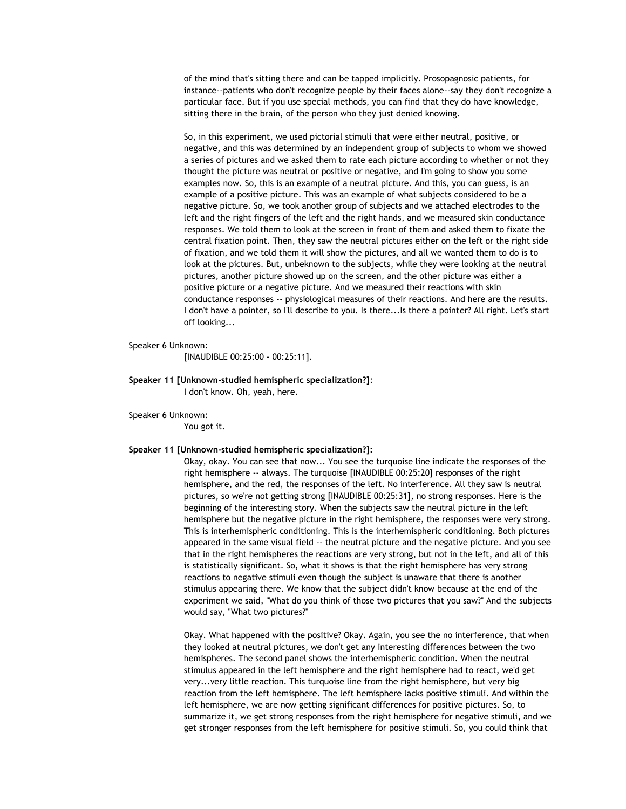of the mind that's sitting there and can be tapped implicitly. Prosopagnosic patients, for instance--patients who don't recognize people by their faces alone--say they don't recognize a particular face. But if you use special methods, you can find that they do have knowledge, sitting there in the brain, of the person who they just denied knowing.

So, in this experiment, we used pictorial stimuli that were either neutral, positive, or negative, and this was determined by an independent group of subjects to whom we showed a series of pictures and we asked them to rate each picture according to whether or not they thought the picture was neutral or positive or negative, and I'm going to show you some examples now. So, this is an example of a neutral picture. And this, you can guess, is an example of a positive picture. This was an example of what subjects considered to be a negative picture. So, we took another group of subjects and we attached electrodes to the left and the right fingers of the left and the right hands, and we measured skin conductance responses. We told them to look at the screen in front of them and asked them to fixate the central fixation point. Then, they saw the neutral pictures either on the left or the right side of fixation, and we told them it will show the pictures, and all we wanted them to do is to look at the pictures. But, unbeknown to the subjects, while they were looking at the neutral pictures, another picture showed up on the screen, and the other picture was either a positive picture or a negative picture. And we measured their reactions with skin conductance responses -- physiological measures of their reactions. And here are the results. I don't have a pointer, so I'll describe to you. Is there...Is there a pointer? All right. Let's start off looking...

### Speaker 6 Unknown:

[INAUDIBLE 00:25:00 - 00:25:11].

**Speaker 11 [Unknown-studied hemispheric specialization?]**: I don't know. Oh, yeah, here.

Speaker 6 Unknown: You got it.

# **Speaker 11 [Unknown-studied hemispheric specialization?]:**

Okay, okay. You can see that now... You see the turquoise line indicate the responses of the right hemisphere -- always. The turquoise [INAUDIBLE 00:25:20] responses of the right hemisphere, and the red, the responses of the left. No interference. All they saw is neutral pictures, so we're not getting strong [INAUDIBLE 00:25:31], no strong responses. Here is the beginning of the interesting story. When the subjects saw the neutral picture in the left hemisphere but the negative picture in the right hemisphere, the responses were very strong. This is interhemispheric conditioning. This is the interhemispheric conditioning. Both pictures appeared in the same visual field -- the neutral picture and the negative picture. And you see that in the right hemispheres the reactions are very strong, but not in the left, and all of this is statistically significant. So, what it shows is that the right hemisphere has very strong reactions to negative stimuli even though the subject is unaware that there is another stimulus appearing there. We know that the subject didn't know because at the end of the experiment we said, "What do you think of those two pictures that you saw?" And the subjects would say, "What two pictures?"

Okay. What happened with the positive? Okay. Again, you see the no interference, that when they looked at neutral pictures, we don't get any interesting differences between the two hemispheres. The second panel shows the interhemispheric condition. When the neutral stimulus appeared in the left hemisphere and the right hemisphere had to react, we'd get very...very little reaction. This turquoise line from the right hemisphere, but very big reaction from the left hemisphere. The left hemisphere lacks positive stimuli. And within the left hemisphere, we are now getting significant differences for positive pictures. So, to summarize it, we get strong responses from the right hemisphere for negative stimuli, and we get stronger responses from the left hemisphere for positive stimuli. So, you could think that